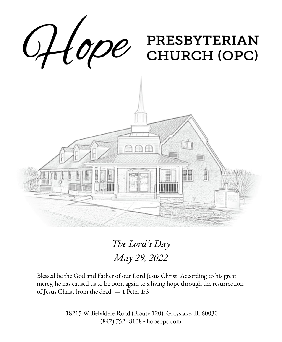

*The Lord's Day May 29, 2022*

Blessed be the God and Father of our Lord Jesus Christ! According to his great mercy, he has caused us to be born again to a living hope through the resurrection of Jesus Christ from the dead. — 1 Peter 1:3

> 18215 W. Belvidere Road (Route 120), Grayslake, IL 60030 (847) 752–8108 ◆ hopeopc.com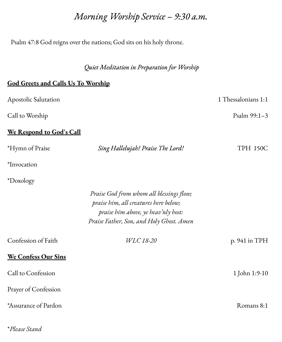## *Morning Worship Service – 9:30 a.m.*

Psalm 47:8 God reigns over the nations; God sits on his holy throne.

*Quiet Meditation in Preparation for Worship*

### **God Greets and Calls Us To Worship**

\**Please Stand*

| Apostolic Salutation       |                                                                                                                                                                      | 1 Thessalonians 1:1 |
|----------------------------|----------------------------------------------------------------------------------------------------------------------------------------------------------------------|---------------------|
| Call to Worship            |                                                                                                                                                                      | Psalm 99:1-3        |
| We Respond to God's Call   |                                                                                                                                                                      |                     |
| *Hymn of Praise            | Sing Hallelujah! Praise The Lord!                                                                                                                                    | <b>TPH 150C</b>     |
| *Invocation                |                                                                                                                                                                      |                     |
| *Doxology                  |                                                                                                                                                                      |                     |
|                            | Praise God from whom all blessings flow;<br>praise him, all creatures here below;<br>praise him above, ye heav'nly host:<br>Praise Father, Son, and Holy Ghost. Amen |                     |
| Confession of Faith        | WLC 18-20                                                                                                                                                            | p. 941 in TPH       |
| <b>We Confess Our Sins</b> |                                                                                                                                                                      |                     |
| Call to Confession         |                                                                                                                                                                      | 1 John 1:9-10       |
| Prayer of Confession       |                                                                                                                                                                      |                     |
| *Assurance of Pardon       |                                                                                                                                                                      | Romans 8:1          |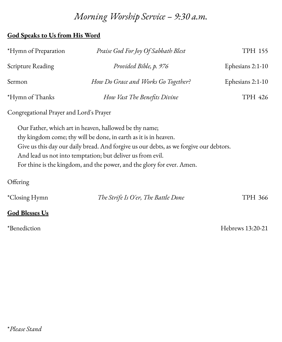# *Morning Worship Service – 9:30 a.m.*

### **God Speaks to Us from His Word**

| *Hymn of Preparation                    | Praise God For Joy Of Sabbath Blest                                                    | <b>TPH 155</b>   |
|-----------------------------------------|----------------------------------------------------------------------------------------|------------------|
| <b>Scripture Reading</b>                | Provided Bible, p. 976                                                                 | Ephesians 2:1-10 |
| Sermon                                  | How Do Grace and Works Go Together?                                                    | Ephesians 2:1-10 |
| *Hymn of Thanks                         | How Vast The Benefits Divine                                                           | TPH 426          |
| Congregational Prayer and Lord's Prayer |                                                                                        |                  |
|                                         | Our Father, which art in heaven, hallowed be thy name;                                 |                  |
|                                         | thy kingdom come; thy will be done, in earth as it is in heaven.                       |                  |
|                                         | Give us this day our daily bread. And forgive us our debts, as we forgive our debtors. |                  |
|                                         | And lead us not into temptation; but deliver us from evil.                             |                  |
|                                         | For thine is the kingdom, and the power, and the glory for ever. Amen.                 |                  |
| Offering                                |                                                                                        |                  |

| <i>*Closing Hymn</i> | The Strife Is O'er, The Battle Done | TPH 366 |
|----------------------|-------------------------------------|---------|
|                      |                                     |         |

## **God Blesses Us**

\*Benediction Hebrews 13:20-21